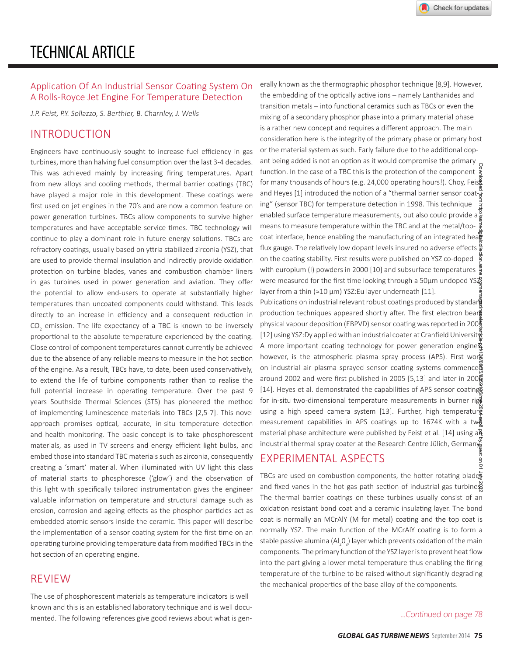#### Application Of An Industrial Sensor Coating System On A Rolls-Royce Jet Engine For Temperature Detection

J.P. Feist, P.Y. Sollazzo, S. Berthier, B. Charnley, J. Wells

## **INTRODUCTION**

Engineers have continuously sought to increase fuel efficiency in gas turbines, more than halving fuel consumption over the last 3-4 decades. This was achieved mainly by increasing firing temperatures. Apart from new alloys and cooling methods, thermal barrier coatings (TBC) have played a major role in this development. These coatings were first used on jet engines in the 70's and are now a common feature on power generation turbines. TBCs allow components to survive higher temperatures and have acceptable service times. TBC technology will continue to play a dominant role in future energy solutions. TBCs are refractory coatings, usually based on yttria stabilized zirconia (YSZ), that are used to provide thermal insulation and indirectly provide oxidation protection on turbine blades, vanes and combustion chamber liners in gas turbines used in power generation and aviation. They offer the potential to allow end-users to operate at substantially higher temperatures than uncoated components could withstand. This leads directly to an increase in efficiency and a consequent reduction in CO<sub>s</sub> emission. The life expectancy of a TBC is known to be inversely proportional to the absolute temperature experienced by the coating. Close control of component temperatures cannot currently be achieved due to the absence of any reliable means to measure in the hot section of the engine. As a result, TBCs have, to date, been used conservatively, to extend the life of turbine components rather than to realise the full potential increase in operating temperature. Over the past 9 years Southside Thermal Sciences (STS) has pioneered the method of implementing luminescence materials into TBCs [2,5-7]. This novel approach promises optical, accurate, in-situ temperature detection and health monitoring. The basic concept is to take phosphorescent materials, as used in TV screens and energy efficient light bulbs, and embed those into standard TBC materials such as zirconia, consequently creating a 'smart' material. When illuminated with UV light this class of material starts to phosphoresce ('glow') and the observation of this light with specifically tailored instrumentation gives the engineer valuable information on temperature and structural damage such as erosion, corrosion and ageing effects as the phosphor particles act as embedded atomic sensors inside the ceramic. This paper will describe the implementation of a sensor coating system for the first time on an operating turbine providing temperature data from modified TBCs in the hot section of an operating engine.

#### **RFVIFW**

The use of phosphorescent materials as temperature indicators is well known and this is an established laboratory technique and is well documented. The following references give good reviews about what is generally known as the thermographic phosphor technique [8,9]. However, the embedding of the optically active ions - namely Lanthanides and transition metals – into functional ceramics such as TBCs or even the mixing of a secondary phosphor phase into a primary material phase is a rather new concept and requires a different approach. The main consideration here is the integrity of the primary phase or primary host or the material system as such. Early failure due to the additional dopant being added is not an option as it would compromise the primary function. In the case of a TBC this is the protection of the component for many thousands of hours (e.g. 24,000 operating hours!). Choy, Feise and Heyes [1] introduced the notion of a "thermal barrier sensor coating" (sensor TBC) for temperature detection in 1998. This technique enabled surface temperature measurements, but also could provide a means to measure temperature within the TBC and at the metal/topcoat interface, hence enabling the manufacturing of an integrated heast flux gauge. The relatively low dopant levels insured no adverse effects  $\frac{8}{8}$ on the coating stability. First results were published on YSZ co-doped with europium (I) powders in 2000 [10] and subsurface temperatures  $\frac{5}{2}$ were measured for the first time looking through a 50µm undoped YS layer from a thin (≈10 µm) YSZ:Eu layer underneath [11].

Publications on industrial relevant robust coatings produced by standars production techniques appeared shortly after. The first electron beard physical vapour deposition (EBPVD) sensor coating was reported in 200 $\frac{3}{2}$ [12] using YSZ:Dy applied with an industrial coater at Cranfield Universit A more important coating technology for power generation engines however, is the atmospheric plasma spray process (APS). First wor $\vec{\textbf{k}}$ on industrial air plasma sprayed sensor coating systems commenced around 2002 and were first published in 2005 [5,13] and later in 200 [14]. Heyes et al. demonstrated the capabilities of APS sensor coating for in-situ two-dimensional temperature measurements in burner rigo using a high speed camera system [13]. Further, high temperature measurement capabilities in APS coatings up to 1674K with a two material phase architecture were published by Feist et al. [14] using a industrial thermal spray coater at the Research Centre Jülich, Germany

### **FXPERIMENTAL ASPECTS**

TBCs are used on combustion components, the hotter rotating blades and fixed vanes in the hot gas path section of industrial gas turbine The thermal barrier coatings on these turbines usually consist of an oxidation resistant bond coat and a ceramic insulating layer. The bond coat is normally an MCrAlY (M for metal) coating and the top coat is normally YSZ. The main function of the MCrAlY coating is to form a stable passive alumina (Al, 02) layer which prevents oxidation of the main components. The primary function of the YSZ layer is to prevent heat flow into the part giving a lower metal temperature thus enabling the firing temperature of the turbine to be raised without significantly degrading the mechanical properties of the base alloy of the components.

...Continued on page 78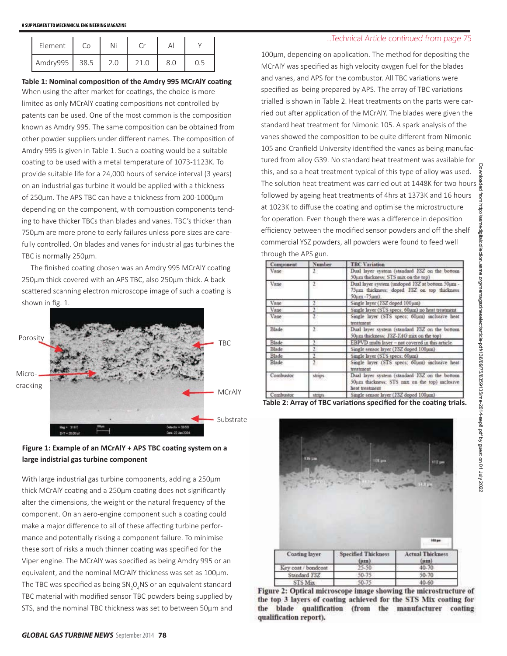| Element          | Co   |     |      |     |     |
|------------------|------|-----|------|-----|-----|
| Amdry995 $\vert$ | 38.5 | 2.0 | 21.0 | 8.0 | 0.5 |

#### Table 1: Nominal composition of the Amdry 995 MCrAlY coating

When using the after-market for coatings, the choice is more limited as only MCrAlY coating compositions not controlled by patents can be used. One of the most common is the composition known as Amdry 995. The same composition can be obtained from other powder suppliers under different names. The composition of Amdry 995 is given in Table 1. Such a coating would be a suitable coating to be used with a metal temperature of 1073-1123K. To provide suitable life for a 24,000 hours of service interval (3 years) on an industrial gas turbine it would be applied with a thickness of 250um. The APS TBC can have a thickness from 200-1000um depending on the component, with combustion components tending to have thicker TBCs than blades and vanes. TBC's thicker than 750um are more prone to early failures unless pore sizes are carefully controlled. On blades and vanes for industrial gas turbines the TBC is normally 250um.

The finished coating chosen was an Amdry 995 MCrAlY coating 250um thick covered with an APS TBC, also 250um thick. A back scattered scanning electron microscope image of such a coating is shown in fig. 1.





With large industrial gas turbine components, adding a 250µm thick MCrAlY coating and a 250um coating does not significantly alter the dimensions, the weight or the natural frequency of the component. On an aero-engine component such a coating could make a major difference to all of these affecting turbine performance and potentially risking a component failure. To minimise these sort of risks a much thinner coating was specified for the Viper engine. The MCrAlY was specified as being Amdry 995 or an equivalent, and the nominal MCrAlY thickness was set as 100um. The TBC was specified as being SN 0.NS or an equivalent standard TBC material with modified sensor TBC powders being supplied by STS, and the nominal TBC thickness was set to between 50um and

#### ...Technical Article continued from page 75

100µm, depending on application. The method for depositing the MCrAlY was specified as high velocity oxygen fuel for the blades and vanes, and APS for the combustor. All TBC variations were specified as being prepared by APS. The array of TBC variations trialled is shown in Table 2. Heat treatments on the parts were carried out after application of the MCrAlY. The blades were given the standard heat treatment for Nimonic 105. A spark analysis of the vanes showed the composition to be quite different from Nimonic 105 and Cranfield University identified the vanes as being manufactured from alloy G39. No standard heat treatment was available for this, and so a heat treatment typical of this type of alloy was used. The solution heat treatment was carried out at 1448K for two hours  $\frac{8}{8}$ followed by ageing heat treatments of 4hrs at 1373K and 16 hours at 1023K to diffuse the coating and optimise the microstructure for operation. Even though there was a difference in deposition efficiency between the modified sensor powders and off the shelf commercial YSZ powders, all powders were found to feed well through the APS gun.

| Component    | Number         | <b>TBC Variation</b><br>Dual layer system (standard ISZ on the bottom<br>50um thickness: STS mix on the top)     |  |
|--------------|----------------|------------------------------------------------------------------------------------------------------------------|--|
| Vane         | 2 <sup>1</sup> |                                                                                                                  |  |
| Vane         | $\overline{2}$ | Dual layer system (undoped ISZ at bottom 50um -<br>75um thickness; doped FSZ on top thickness<br>50um-75um).     |  |
| Vane         | 2              | Single layer (15Z doped 100µm)                                                                                   |  |
| Vane         |                | Single layer (STS specs; 60um) no heat treatment                                                                 |  |
| Vane         | 2              | Single layer (STS specs; 60pm) inclusive heat<br>treatment                                                       |  |
| Blade        | $\mathbf{2}$   | Dual layer system (standard ISZ on the bottom<br>50um thickness: <i>YSZ-YAG</i> mix on the top)                  |  |
| <b>Blade</b> | $\mathfrak{D}$ | EBPVD multi layer - not covered in this article                                                                  |  |
| Blade        |                | Single sensor layer (YSZ doped 100µm)                                                                            |  |
| Blade        | $\overline{2}$ | Single layer (STS specs: 60um)                                                                                   |  |
| Blade        | $\overline{2}$ | Single layer (STS specs; 60pm) inclusive heat<br>treatment                                                       |  |
| Combustor    | strips         | Dual layer system (standard YSZ on the bottom<br>50um thickness: STS max on the top) inclusive<br>heat treatment |  |
| Combustor    | strups         | Single sensor layer ( <i>YSZ</i> doped 100um)                                                                    |  |

Table 2: Array of TBC variations specified for the coating trials.



Figure 2: Optical microscope image showing the microstructure of the top 3 layers of coating achieved for the STS Mix coating for the blade qualification (from the manufacturer coating qualification report).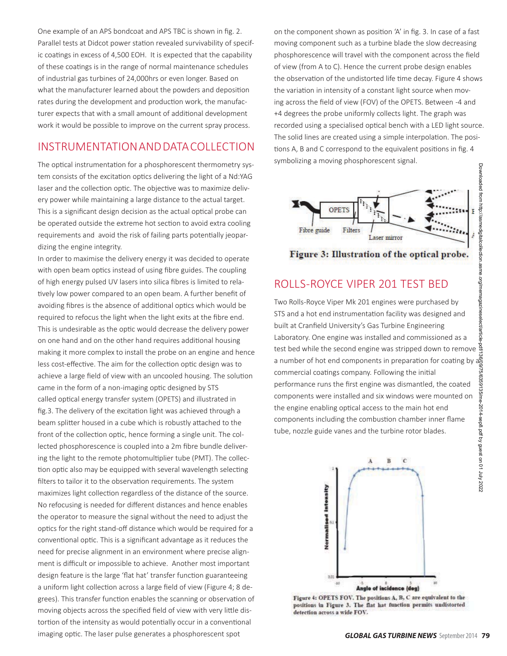One example of an APS bondcoat and APS TBC is shown in fig. 2. Parallel tests at Didcot power station revealed survivability of specific coatings in excess of 4,500 EOH. It is expected that the capability of these coatings is in the range of normal maintenance schedules of industrial gas turbines of 24,000hrs or even longer. Based on what the manufacturer learned about the powders and deposition rates during the development and production work, the manufacturer expects that with a small amount of additional development work it would be possible to improve on the current spray process.

## INSTRUMENTATION AND DATA COLLECTION

The optical instrumentation for a phosphorescent thermometry system consists of the excitation optics delivering the light of a Nd:YAG laser and the collection optic. The objective was to maximize delivery power while maintaining a large distance to the actual target. This is a significant design decision as the actual optical probe can be operated outside the extreme hot section to avoid extra cooling requirements and avoid the risk of failing parts potentially jeopardizing the engine integrity.

In order to maximise the delivery energy it was decided to operate with open beam optics instead of using fibre guides. The coupling of high energy pulsed UV lasers into silica fibres is limited to relatively low power compared to an open beam. A further benefit of avoiding fibres is the absence of additional optics which would be required to refocus the light when the light exits at the fibre end. This is undesirable as the optic would decrease the delivery power on one hand and on the other hand requires additional housing making it more complex to install the probe on an engine and hence less cost-effective. The aim for the collection optic design was to achieve a large field of view with an uncooled housing. The solution came in the form of a non-imaging optic designed by STS called optical energy transfer system (OPETS) and illustrated in fig.3. The delivery of the excitation light was achieved through a beam splitter housed in a cube which is robustly attached to the front of the collection optic, hence forming a single unit. The collected phosphorescence is coupled into a 2m fibre bundle delivering the light to the remote photomultiplier tube (PMT). The collection optic also may be equipped with several wavelength selecting filters to tailor it to the observation requirements. The system maximizes light collection regardless of the distance of the source. No refocusing is needed for different distances and hence enables the operator to measure the signal without the need to adjust the optics for the right stand-off distance which would be required for a conventional optic. This is a significant advantage as it reduces the need for precise alignment in an environment where precise alignment is difficult or impossible to achieve. Another most important design feature is the large 'flat hat' transfer function guaranteeing a uniform light collection across a large field of view (Figure 4; 8 degrees). This transfer function enables the scanning or observation of moving objects across the specified field of view with very little distortion of the intensity as would potentially occur in a conventional imaging optic. The laser pulse generates a phosphorescent spot

on the component shown as position 'A' in fig. 3. In case of a fast moving component such as a turbine blade the slow decreasing phosphorescence will travel with the component across the field of view (from A to C). Hence the current probe design enables the observation of the undistorted life time decay. Figure 4 shows the variation in intensity of a constant light source when moving across the field of view (FOV) of the OPETS. Between -4 and +4 degrees the probe uniformly collects light. The graph was recorded using a specialised optical bench with a LED light source. The solid lines are created using a simple interpolation. The positions A, B and C correspond to the equivalent positions in fig. 4 symbolizing a moving phosphorescent signal.



Figure 3: Illustration of the optical probe.

## ROLLS-ROYCE VIPER 201 TEST BED

Two Rolls-Royce Viper Mk 201 engines were purchased by STS and a hot end instrumentation facility was designed and built at Cranfield University's Gas Turbine Engineering Laboratory. One engine was installed and commissioned as a test bed while the second engine was stripped down to remove test bed while the second engine was stripped down to remove designtant and number of hot end components in preparation for coating by a commercial coatings company. Following the initial performance runs the first engine



Figure 4: OPETS FOV. The positions A, B, C are equivalent to the positions in Figure 3. The flat hat function permits undistorted detection across a wide FOV.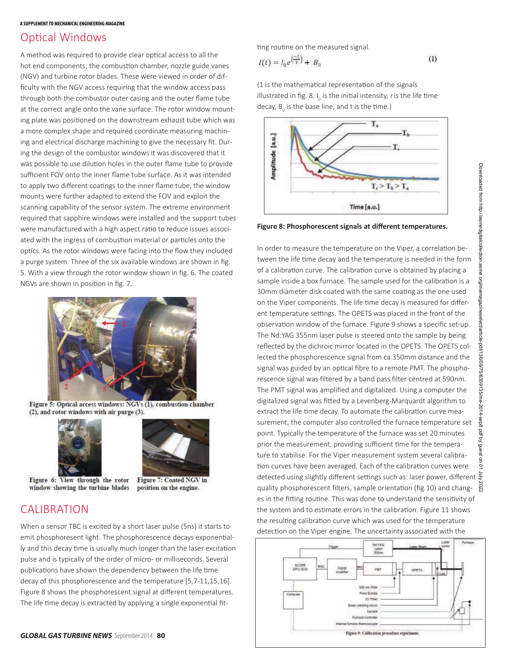## **Optical Windows**

A method was required to provide clear optical access to all the hot end components: the combustion chamber, nozzle guide vanes (NGV) and turbine rotor blades. These were viewed in order of difficulty with the NGV access requiring that the window access pass through both the combustor outer casing and the outer flame tube at the correct angle onto the vane surface. The rotor window mounting plate was positioned on the downstream exhaust tube which was a more complex shape and required coordinate measuring machining and electrical discharge machining to give the necessary fit. During the design of the combustor windows it was discovered that it was possible to use dilution holes in the outer flame tube to provide sufficient FOV onto the inner flame tube surface. As it was intended to apply two different coatings to the inner flame tube, the window mounts were further adapted to extend the FOV and exploit the scanning capability of the sensor system. The extreme environment required that sapphire windows were installed and the support tubes were manufactured with a high aspect ratio to reduce issues associated with the ingress of combustion material or particles onto the optics. As the rotor windows were facing into the flow they included a purge system. Three of the six available windows are shown in fig. 5. With a view through the rotor window shown in fig. 6. The coated NGVs are shown in position in fig. 7.



Figure 5: Optical access windows: NGVs (1), combustion chamber (2), and rotor windows with air purge (3).





position on the engine.

Figure 6: View through the rotor window showing the turbine blades

# **CALIBRATION**

When a sensor TBC is excited by a short laser pulse (5ns) it starts to emit phosphoresent light. The phosphorescence decays exponentially and this decay time is usually much longer than the laser excitation pulse and is typically of the order of micro- or milliseconds. Several publications have shown the dependency between the life time decay of this phosphorescence and the temperature [5,7-11,15,16]. Figure 8 shows the phosphorescent signal at different temperatures. The life time decay is extracted by applying a single exponential fitting routine on the measured signal.

$$
I(t) = I_0 e^{\left(\frac{-t}{\tau}\right)} + B_0 \tag{1}
$$

Downloaded from http://asmedigitalcollection  $T_c > T_b > T_s$ Time [a.u.] In order to measure the temperature on the Viper, a correlation between the life time decay and the temperature is needed in the form of a calibration curve. The calibration curve is obtained by placing a sample inside a box furnace. The sample used for the calibration is a 30mm diameter disk coated with the same coating as the one used on the Viper components. The life time decay is measured for differagazineselect/article-pdf/1 ent temperature settings. The OPETS was placed in the front of the observation window of the furnace. Figure 9 shows a specific set-up. The Nd:YAG 355nm laser pulse is steered onto the sample by being reflected by the dichroic mirror located in the OPETS. The OPETS collected the phosphorescence signal from ca 350mm distance and the 136/09/75/6359135/me-20 signal was guided by an optical fibre to a remote PMT. The phosphorescence signal was filtered by a band pass filter centred at 590nm. The PMT signal was amplified and digitalized. Using a computer the digitalized signal was fitted by a Levenberg-Marquardt algorithm to extract the life time decay. To automate the calibration curve mea-14-sep8 surement, the computer also controlled the furnace temperature set kq µod; point. Typically the temperature of the furnace was set 20 minutes prior the measurement, providing sufficient time for the temperaanest ture to stabilise. For the Viper measurement system several calibrat on 01 tion curves have been averaged. Each of the calibration curves were detected using slightly different settings such as: laser power, different  $\bar{\xi}$ quality phosphorescent filters, sample orientation (fig.10) and changč. es in the fitting routine. This was done to understand the sensitivity of the system and to estimate errors in the calibration. Figure 11 shows the resulting calibration curve which was used for the temperature detection on the Viper engine. The uncertainty associated with the



(1 is the mathematical representation of the signals illustrated in fig. 8.  $I_0$  is the initial intensity,  $t$  is the life time decay, B is the base line, and t is the time.)



Figure 8: Phosphorescent signals at different temperatures.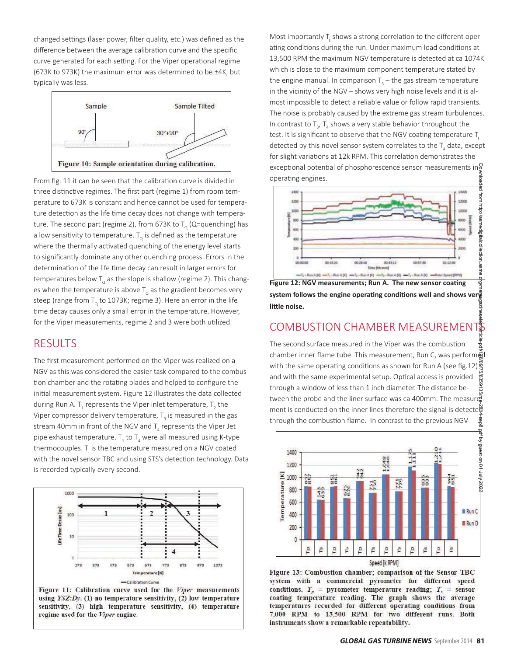changed settings (laser power, filter quality, etc.) was defined as the difference between the average calibration curve and the specific curve generated for each setting. For the Viper operational regime (673K to 973K) the maximum error was determined to be ±4K, but typically was less.



From fig. 11 it can be seen that the calibration curve is divided in three distinctive regimes. The first part (regime 1) from room temperature to 673K is constant and hence cannot be used for temperature detection as the life time decay does not change with temperature. The second part (regime 2), from 673K to  $T_a$  (Q=quenching) has a low sensitivity to temperature.  $T_{0}$  is defined as the temperature where the thermally activated quenching of the energy level starts to significantly dominate any other quenching process. Errors in the determination of the life time decay can result in larger errors for temperatures below  $T_0$  as the slope is shallow (regime 2). This changes when the temperature is above  $T_{\alpha}$  as the gradient becomes very steep (range from  $T_0$  to 1073K; regime 3). Here an error in the life time decay causes only a small error in the temperature. However, for the Viper measurements, regime 2 and 3 were both utilized.

# **RESULTS**

The first measurement performed on the Viper was realized on a NGV as this was considered the easier task compared to the combustion chamber and the rotating blades and helped to configure the initial measurement system. Figure 12 illustrates the data collected during Run A. T. represents the Viper inlet temperature, T. the Viper compressor delivery temperature,  $T<sub>2</sub>$  is measured in the gas stream 40mm in front of the NGV and T<sub>a</sub> represents the Viper Jet pipe exhaust temperature.  $T_1$  to  $T_2$  were all measured using K-type thermocouples. T is the temperature measured on a NGV coated with the novel sensor TBC and using STS's detection technology. Data is recorded typically every second.





Most importantly T shows a strong correlation to the different operating conditions during the run. Under maximum load conditions at 13,500 RPM the maximum NGV temperature is detected at ca 1074K which is close to the maximum component temperature stated by the engine manual. In comparison  $T<sub>2</sub> -$  the gas stream temperature in the vicinity of the NGV - shows very high noise levels and it is almost impossible to detect a reliable value or follow rapid transients. The noise is probably caused by the extreme gas stream turbulences. In contrast to  $T_{1}$ ,  $T_{4}$  shows a very stable behavior throughout the test. It is significant to observe that the NGV coating temperature T detected by this novel sensor system correlates to the  $T_{A}$  data, except for slight variations at 12k RPM. This correlation demonstrates the exceptional potential of phosphorescence sensor measurements ing operating engines.



Figure 12: NGV measurements; Run A. The new sensor coating system follows the engine operating conditions well and shows ver little noise.

### **COMBUSTION CHAMBER MEASUREMENTS**

The second surface measured in the Viper was the combustion chamber inner flame tube. This measurement, Run C, was performed with the same operating conditions as shown for Run A (see fig. 12)  $\frac{8}{5}$ and with the same experimental setup. Optical access is provided through a window of less than 1 inch diameter. The distance between the probe and the liner surface was ca 400mm. The measure ment is conducted on the inner lines therefore the signal is detected through the combustion flame. In contrast to the previous NGV



Figure 13: Combustion chamber; comparison of the Sensor TBC system with a commercial pyrometer for different speed conditions.  $T_p$  = pyrometer temperature reading;  $T_s$  = sensor coating temperature reading. The graph shows the average temperatures recorded for different operating conditions from 7,000 RPM to 13,500 RPM for two different runs. Both instruments show a remarkable repeatability.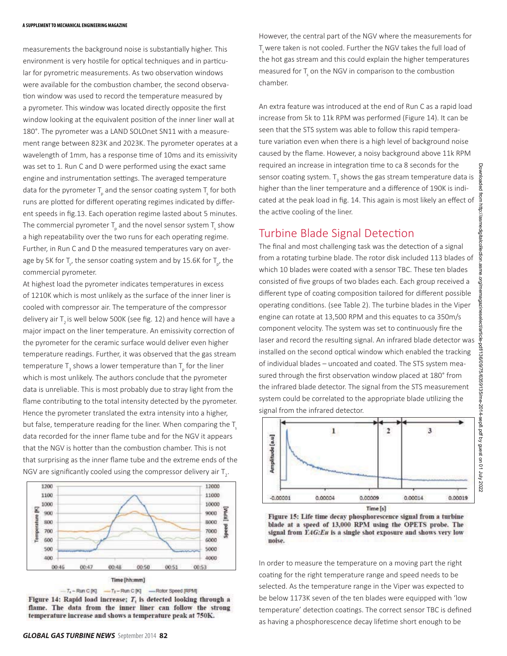measurements the background noise is substantially higher. This environment is very hostile for optical techniques and in particular for pyrometric measurements. As two observation windows were available for the combustion chamber, the second observation window was used to record the temperature measured by a pyrometer. This window was located directly opposite the first window looking at the equivalent position of the inner liner wall at 180°. The pyrometer was a LAND SOLOnet SN11 with a measurement range between 823K and 2023K. The pyrometer operates at a wavelength of 1mm, has a response time of 10ms and its emissivity was set to 1. Run C and D were performed using the exact same engine and instrumentation settings. The averaged temperature data for the pyrometer  $T_{\rm g}$  and the sensor coating system  $T_{\rm g}$  for both runs are plotted for different operating regimes indicated by different speeds in fig.13. Each operation regime lasted about 5 minutes. The commercial pyrometer  $T_{\rm g}$  and the novel sensor system  $T_{\rm g}$  show a high repeatability over the two runs for each operating regime. Further, in Run C and D the measured temperatures vary on average by 5K for  $T_c$ , the sensor coating system and by 15.6K for  $T_{p}$ , the commercial pyrometer.

At highest load the pyrometer indicates temperatures in excess of 1210K which is most unlikely as the surface of the inner liner is cooled with compressor air. The temperature of the compressor delivery air T<sub>2</sub> is well below 500K (see fig. 12) and hence will have a major impact on the liner temperature. An emissivity correction of the pyrometer for the ceramic surface would deliver even higher temperature readings. Further, it was observed that the gas stream temperature  $T_a$  shows a lower temperature than  $T_a$  for the liner which is most unlikely. The authors conclude that the pyrometer data is unreliable. This is most probably due to stray light from the flame contributing to the total intensity detected by the pyrometer. Hence the pyrometer translated the extra intensity into a higher, but false, temperature reading for the liner. When comparing the T data recorded for the inner flame tube and for the NGV it appears that the NGV is hotter than the combustion chamber. This is not that surprising as the inner flame tube and the extreme ends of the NGV are significantly cooled using the compressor delivery air  $T_{\alpha}$ .



Figure 14: Rapid load increase; T, is detected looking through a flame. The data from the inner liner can follow the strong temperature increase and shows a temperature peak at 750K.

However, the central part of the NGV where the measurements for T were taken is not cooled. Further the NGV takes the full load of the hot gas stream and this could explain the higher temperatures measured for T on the NGV in comparison to the combustion chamber.

An extra feature was introduced at the end of Run C as a rapid load increase from 5k to 11k RPM was performed (Figure 14). It can be seen that the STS system was able to follow this rapid temperature variation even when there is a high level of background noise caused by the flame. However, a noisy background above 11k RPM required an increase in integration time to ca 8 seconds for the sensor coating system.  $T_a$  shows the gas stream temperature data is higher than the liner temperature and a difference of 190K is indicated at the peak load in fig. 14. This again is most likely an effect of the active cooling of the liner.

## **Turbine Blade Signal Detection**

The final and most challenging task was the detection of a signal from a rotating turbine blade. The rotor disk included 113 blades of which 10 blades were coated with a sensor TBC. These ten blades consisted of five groups of two blades each. Each group received a different type of coating composition tailored for different possible operating conditions. (see Table 2). The turbine blades in the Viper engine can rotate at 13,500 RPM and this equates to ca 350m/s component velocity. The system was set to continuously fire the laser and record the resulting signal. An infrared blade detector was installed on the second optical window which enabled the tracking of individual blades - uncoated and coated. The STS system measured through the first observation window placed at 180° from the infrared blade detector. The signal from the STS measurement system could be correlated to the appropriate blade utilizing the signal from the infrared detector.



Figure 15: Life time decay phosphorescence signal from a turbine blade at a speed of 13,000 RPM using the OPETS probe. The signal from YAG:Eu is a single shot exposure and shows very low noise.

In order to measure the temperature on a moving part the right coating for the right temperature range and speed needs to be selected. As the temperature range in the Viper was expected to be below 1173K seven of the ten blades were equipped with 'low temperature' detection coatings. The correct sensor TBC is defined as having a phosphorescence decay lifetime short enough to be